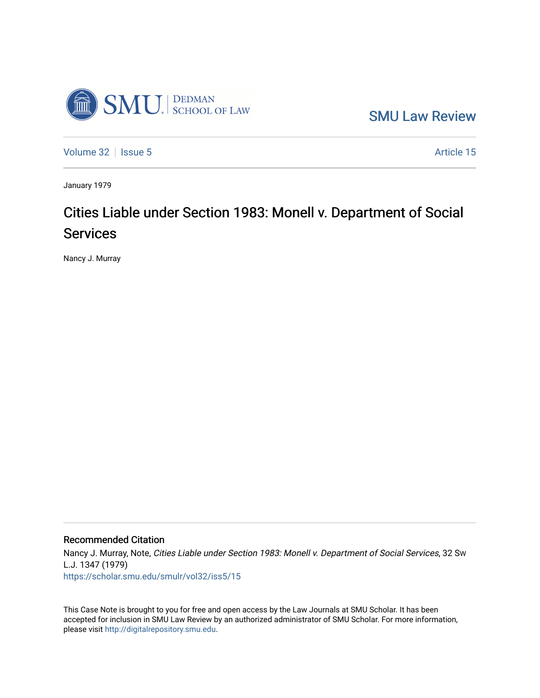

[SMU Law Review](https://scholar.smu.edu/smulr) 

[Volume 32](https://scholar.smu.edu/smulr/vol32) | [Issue 5](https://scholar.smu.edu/smulr/vol32/iss5) Article 15

January 1979

# Cities Liable under Section 1983: Monell v. Department of Social Services

Nancy J. Murray

# Recommended Citation

Nancy J. Murray, Note, Cities Liable under Section 1983: Monell v. Department of Social Services, 32 Sw L.J. 1347 (1979) [https://scholar.smu.edu/smulr/vol32/iss5/15](https://scholar.smu.edu/smulr/vol32/iss5/15?utm_source=scholar.smu.edu%2Fsmulr%2Fvol32%2Fiss5%2F15&utm_medium=PDF&utm_campaign=PDFCoverPages)

This Case Note is brought to you for free and open access by the Law Journals at SMU Scholar. It has been accepted for inclusion in SMU Law Review by an authorized administrator of SMU Scholar. For more information, please visit [http://digitalrepository.smu.edu.](http://digitalrepository.smu.edu/)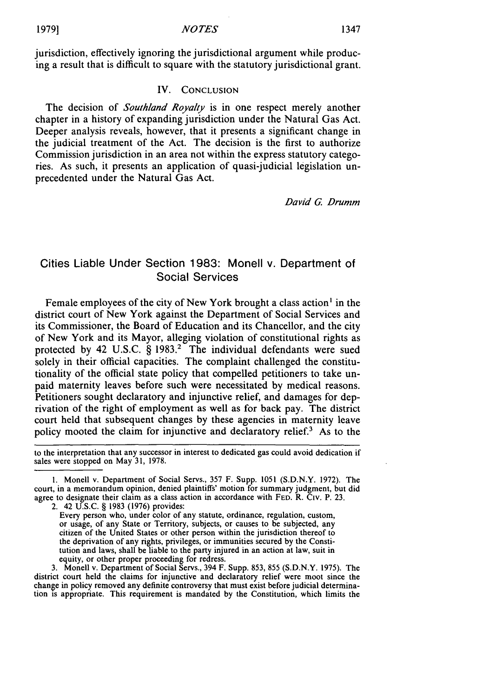jurisdiction, effectively ignoring the jurisdictional argument while producing a result that is difficult to square with the statutory jurisdictional grant.

#### IV. CONCLUSION

The decision of *Southland Royalty* is in one respect merely another chapter in a history of expanding jurisdiction under the Natural Gas Act. Deeper analysis reveals, however, that it presents a significant change in the judicial treatment of the Act. The decision is the first to authorize Commission jurisdiction in an area not within the express statutory categories. As such, it presents an application of quasi-judicial legislation unprecedented under the Natural Gas Act.

David *G.* Drumm

# Cities Liable Under Section 1983: Monell v. Department of Social Services

Female employees of the city of New York brought a class action' in the district court of New York against the Department of Social Services and its Commissioner, the Board of Education and its Chancellor, and the city of New York and its Mayor, alleging violation of constitutional rights as protected by 42 U.S.C. § 1983.<sup>2</sup> The individual defendants were sued solely in their official capacities. The complaint challenged the constitutionality of the official state policy that compelled petitioners to take unpaid maternity leaves before such were necessitated by medical reasons. Petitioners sought declaratory and injunctive relief, and damages for deprivation of the right of employment as well as for back pay. The district court held that subsequent changes by these agencies in maternity leave policy mooted the claim for injunctive and declaratory relief.3 As to the

to the interpretation that any successor in interest to dedicated gas could avoid dedication if sales were stopped on May 31, 1978.

**1.** Monell v. Department of Social Servs., 357 F. Supp. 1051 (S.D.N.Y. 1972). The court, in a memorandum opinion, denied plaintiffs' motion for summary judgment, but did agree to designate their claim as a class action in accordance with FED. R. Civ. P. 23.

2. 42 U.S.C. § 1983 (1976) provides:

Every person who, under color of any statute, ordinance, regulation, custom, or usage, of any State or Territory, subjects, or causes to be subjected, any citizen of the United States or other person within the jurisdiction thereof to the deprivation of any rights, privileges, or immunities secured by the Constitution and laws, shall be liable to the party injured in an action at law, suit in equity, or other proper proceeding for redress.

3. Monell v. Department of Social Servs., 394 F. Supp. 853, 855 (S.D.N.Y. 1975). The district court held the claims for injunctive and declaratory relief were moot since the change in policy removed any definite controversy that must exist before judicial determination is appropriate. This requirement is mandated by the Constitution, which limits the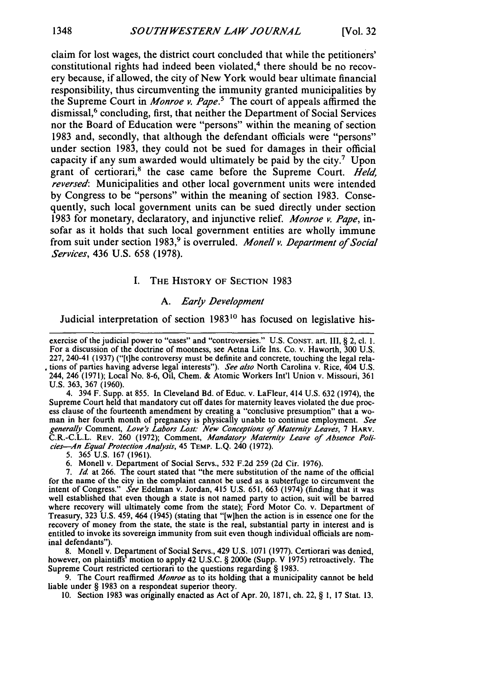claim for lost wages, the district court concluded that while the petitioners' constitutional rights had indeed been violated,<sup>4</sup> there should be no recovery because, if allowed, the city of New York would bear ultimate financial responsibility, thus circumventing the immunity granted municipalities by the Supreme Court in *Monroe v. Pape.5* The court of appeals affirmed the dismissal,<sup>6</sup> concluding, first, that neither the Department of Social Services nor the Board of Education were "persons" within the meaning of section 1983 and, secondly, that although the defendant officials were "persons" under section 1983, they could not be sued for damages in their official capacity if any sum awarded would ultimately be paid by the city.<sup>7</sup> Upon grant of certiorari,<sup>8</sup> the case came before the Supreme Court. *Held*, *reversed:* Municipalities and other local government units were intended by Congress to be "persons" within the meaning of section 1983. Consequently, such local government units can be sued directly under section 1983 for monetary, declaratory, and injunctive relief. *Monroe v. Pape,* insofar as it holds that such local government entities are wholly immune from suit under section 1983,<sup>9</sup> is overruled. *Monell v. Department of Social Services,* 436 U.S. 658 (1978).

#### I. THE HISTORY OF SECTION 1983

#### *A. Early Development*

Judicial interpretation of section 1983<sup>10</sup> has focused on legislative his-

4. 394 F. Supp. at 855. In Cleveland Bd. of Educ. v. LaFleur, 414 U.S. 632 (1974), the Supreme Court held that mandatory cut off dates for maternity leaves violated the due process clause of the fourteenth amendment by creating a "conclusive presumption" that a wo- man in her fourth month of pregnancy is physically unable to continue employment. *See generally* Comment, *Love's Labors Lost: New Conceptions of Maternity Leaves,* **7 HARV.** C.R.-C.L.L. REV. 260 (1972); Comment, *Mandatory Maternity Leave of Absence Policies-An Equal* Protection *Analysis,* 45 TEMP. **L.Q.** 240 (1972).

5. 365 U.S. 167 (1961).

6. Monell v. Department of Social Servs., 532 F.2d 259 (2d Cir. 1976).

7. *Id* at 266. The court stated that "the mere substitution of the name of the official for the name of the city in the complaint cannot be used as a subterfuge to circumvent the intent of Congress." See Edelman v. Jordan, 415 U.S. 651, 663 (1974) (finding that it was intent of Congress." *See* Edelman v. Jordan, 415 U.S. 651, 663 (1974) (finding that it was well established that even though a state is not named party to action, suit will be barred where recovery will ultimately come from the state); Ford Motor Co. v. Department of Treasury, 323 U.S. 459, 464 (1945) (stating that "[wihen the action is in essence one for the recovery of money from the state, the state is the real, substantial party in interest and is entitled to invoke its sovereign immunity from suit even though individual officials are nom- inal defendants").

8. Monell v. Department of Social Servs., 429 U.S. 1071 (1977). Certiorari was denied, however, on plaintiffs' motion to apply 42 U.S.C. § 2000e (Supp. V 1975) retroactively. The Supreme Court restricted certiorari to the questions regarding § 1983.

9. The Court reaffirmed *Monroe* as to its holding that a municipality cannot be held liable under § 1983 on a respondeat superior theory.

10. Section 1983 was originally enacted as Act of Apr. 20, 1871, ch. 22, § 1, 17 Stat. 13.

exercise of the judicial power to "cases" and "controversies." U.S. CONST. art. III, § 2, cl. 1. For a discussion of the doctrine of mootness, see Aetna Life Ins. Co. v. Haworth, 300 U.S. 227, 240-41 (1937) ("[t]he controversy must be definite and concrete, touching the legal relations of parties having adverse legal interests"). *See also* North Carolina v. Rice, 404 U.S. 244, 246 (1971); Local No. 8-6, Oil, Chem. & Atomic Workers Int'l Union v. Missouri, 361 U.S. 363, 367 (1960).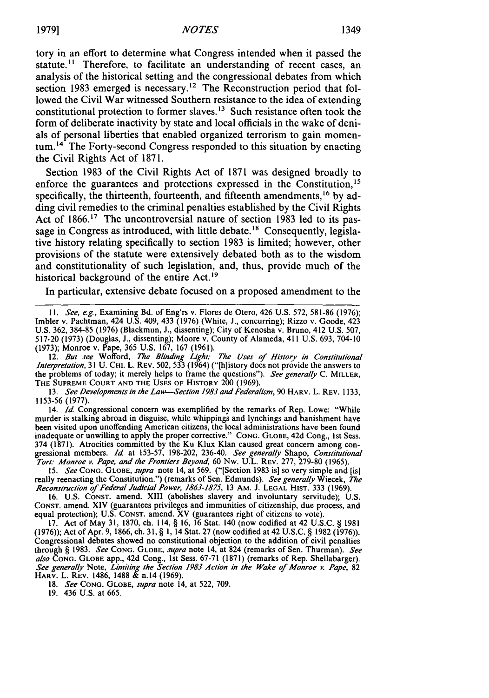tory in an effort to determine what Congress intended when it passed the statute.<sup>11</sup> Therefore, to facilitate an understanding of recent cases, an analysis of the historical setting and the congressional debates from which section 1983 emerged is necessary.<sup>12</sup> The Reconstruction period that followed the Civil War witnessed Southern resistance to the idea of extending constitutional protection to former slaves.<sup>13</sup> Such resistance often took the form of deliberate inactivity **by** state and local officials in the wake of denials of personal liberties that enabled organized terrorism to gain momentum.<sup>14</sup> The Forty-second Congress responded to this situation by enacting the Civil Rights Act of **1871.**

Section **1983** of the Civil Rights Act of **1871** was designed broadly to enforce the guarantees and protections expressed in the Constitution,<sup>15</sup> specifically, the thirteenth, fourteenth, and fifteenth amendments,<sup>16</sup> by adding civil remedies to the criminal penalties established **by** the Civil Rights Act of 1866.<sup>17</sup> The uncontroversial nature of section 1983 led to its passage in Congress as introduced, with little debate.<sup>18</sup> Consequently, legislative history relating specifically to section **1983** is limited; however, other provisions of the statute were extensively debated both as to the wisdom and constitutionality of such legislation, and, thus, provide much of the historical background of the entire Act.<sup>19</sup>

In particular, extensive debate focused on a proposed amendment to the

11. See, e.g., Examining Bd. of Eng'rs v. Flores de Otero, 426 U.S. 572, 581-86 (1976) Imbler v. Pachtman, 424 U.S. 409, 433 (1976) (White, **J.,** concurring); Rizzo v. Goode, 423 U.S. 362, 384-85 (1976) (Blackmun, J., dissenting); City of Kenosha v. Bruno, 412 U.S. 507, 517-20 (1973) (Douglas, **J.,** dissenting); Moore v. County of Alameda, 411 U.S. 693, 704-10 (1973); Monroe v. Pape, 365 U.S. 167, 167 (1961).

12. But see Wofford, The Blinding *Light: The Uses of History in Constitutional Interpretation,* 31 U. CHI. L. REV. 502, 533 (1964) ("[h]istory does not provide the answers to the problems of today; it merely helps to frame the questions"). *See generally* C. MILLER, THE **SUPREME COURT AND** THE **USES** OF HISTORY 200 (1969).

13. *See Developments* in *the Law-Section 1983 and Federalism,* 90 HARV. L. REV. 1133, 1153-56 (1977).

14. *Id.* Congressional concern was exemplified by the remarks of Rep. Lowe: "While murder is stalking abroad in disguise, while whippings and lynchings and banishment have been visited upon unoffending American citizens, the local administrations have been found inadequate or unwilling to apply the proper corrective." **CONG. GLOBE,** 42d Cong., 1st Sess. 374 (1871). Atrocities committed by the Ku Klux Klan caused great concern among congressional members. *Id* at 153-57, 198-202, 236-40. *See generally* Shapo, *Constitutional Tort." Monroe v. Pape, and the Frontiers Beyond,* 60 Nw. U.L. REV. 277, 279-80 (1965).

*15. See* **CONG. GLOBE,** *supra* note 14, at 569. ("[Section 1983 is] so very simple and [is] really reenacting the Constitution.") (remarks of Sen. Edmunds). *See generally* Wiecek, *The Reconstruction of Federal Judicial Power, 1863-1875,* 13 AM. J. **LEGAL HIST.** 333 (1969).

16. U.S. CONST. amend. XIII (abolishes slavery and involuntary servitude); U.S. **CONST.** amend. XIV (guarantees privileges and immunities of citizenship, due process, and equal protection); U.S. **CONST.** amend. XV (guarantees right of citizens to vote).

17. Act of May 31, 1870, ch. 114, § 16, 16 Stat. 140 (now codified at 42 U.S.C. § 1981 (1976)); Act of Apr. 9, 1866, ch. 31, § 1, 14 Stat. 27 (now codified at 42 U.S.C. § 1982 (1976)). Congressional debates showed no constitutional objection to the addition of civil penalties through § 1983. *See* **CONG. GLOBE,** *supra* note 14, at 824 (remarks of Sen. Thurman). *See* also ČONG. GLOBE app., 42d Cong., 1st Sess. 67-71 (1871) (remarks of Rep. Shellabarger)<br>See generally Note, Limiting the Section 1983 Action in the Wake of Monroe v. Pape, 82<br>HARV. L. REV. 1486, 1488 & n.14 (1969).

18. *See* CONG. **GLOBE,** *supra* note 14, at 522, 709.

<sup>19. 436</sup> U.S. at 665.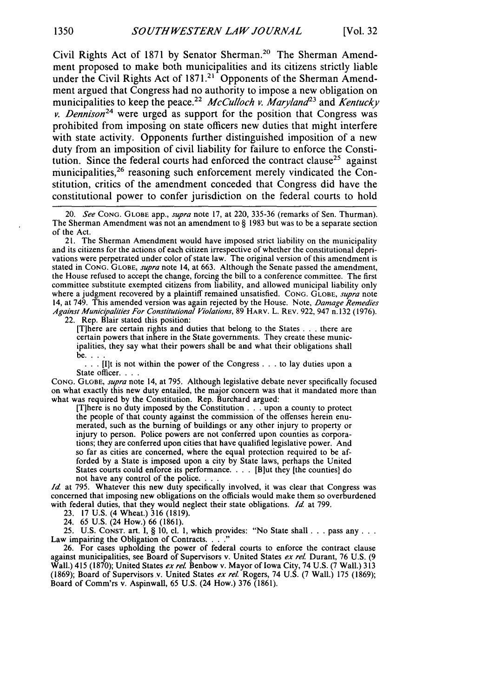Civil Rights Act of 1871 by Senator Sherman.<sup>20</sup> The Sherman Amendment proposed to make both municipalities and its citizens strictly liable under the Civil Rights Act of 1871.<sup>21</sup> Opponents of the Sherman Amendment argued that Congress had no authority to impose a new obligation on municipalities to keep the peace. <sup>22</sup>*McCulloch v. Maryland23* and *Kentucky v. Dennison24* were urged as support for the position that Congress was prohibited from imposing on state officers new duties that might interfere with state activity. Opponents further distinguished imposition of a new duty from an imposition of civil liability for failure to enforce the Constitution. Since the federal courts had enforced the contract clause<sup>25</sup> against municipalities, $26$  reasoning such enforcement merely vindicated the Constitution, critics of the amendment conceded that Congress did have the constitutional power to confer jurisdiction on the federal courts to hold

[Tihere are certain rights and duties that belong to the States . . . there are certain powers that inhere in the State governments. They create these municipalities, they say what their powers shall be and what their obligations shall

be. . . .<br>**.** . . [I]t is not within the power of the Congress. . . to lay duties upon a State officer. . .

**CONG. GLOBE,** *supra* note 14, at 795. Although legislative debate never specifically focused on what exactly this new duty entailed, the major concern was that it mandated more than what was required by the Constitution. Rep. Burchard argued:

[T]here is no duty imposed by the Constitution. **.** . upon a county to protect the people of that county against the commission of the offenses herein enu- merated, such as the burning of buildings or any other injury to property or injury to person. Police powers are not conferred upon counties as corporations; they are conferred upon cities that have qualified legislative power. And so far as cities are concerned, where the equal protection required to be afforded by a State is imposed upon a city by State laws, perhaps the United States courts could enforce its performance. . **.** . [Biut they [the counties] do not have any control of the police. . .

*Id.* at 795. Whatever this new duty specifically involved, it was clear that Congress was concerned that imposing new obligations on the officials would make them so overburdened with federal duties, that they would neglect their state obligations. *ld* at 799.

23. 17 U.S. (4 Wheat.) 316 (1819).

24. 65 U.S. (24 How.) 66 (1861).

25. U.S. CoNsT. art. I, § 10, cl. 1, which provides: "No State shall **...** pass any. **..** Law impairing the Obligation of Contracts. **.. "** 26. For cases upholding the power of federal courts to enforce the contract clause

against municipalities, see Board of Supervisors v. United States *ex rel.* Durant, 76 U.S. (9 Wall.) 415 (1870); United States *ex rel.* Benbow v. Mayor of Iowa City, 74 U.S. (7 Wall.) 313 (1869); Board of Supervisors v. United States *ex rel.* Rogers, 74 U.S. (7 Wall.) 175 (1869); Board of Comm'rs v. Aspinwall, 65 U.S. (24 How.) 376 (1861).

<sup>20.</sup> *See* **CONG. GLOBE** app., *supra* note 17, at 220, 335-36 (remarks of Sen. Thurman). The Sherman Amendment was not an amendment to § 1983 but was to be a separate section of the Act.

<sup>21.</sup> The Sherman Amendment would have imposed strict liability on the municipality and its citizens for the actions of each citizen irrespective of whether the constitutional deprivations were perpetrated under color of state law. The original version of this amendment is stated in CONG. **GLOBE,** *supra* note 14, at 663. Although the Senate passed the amendment, the House refused to accept the change, forcing the bill to a conference committee. The first committee substitute exempted citizens from liability, and allowed municipal liability only where a judgment recovered by a plaintiff remained unsatisfied. **CONG. GLOBE,** *supra* note 14, at 749. This amended version was again rejected by the House. Note, *Damage Remedies Against Municipalities For Constitutional Violations,* 89 HARV. L. REV. 922, 947 n. 132 (1976). 22. Rep. Blair stated this position: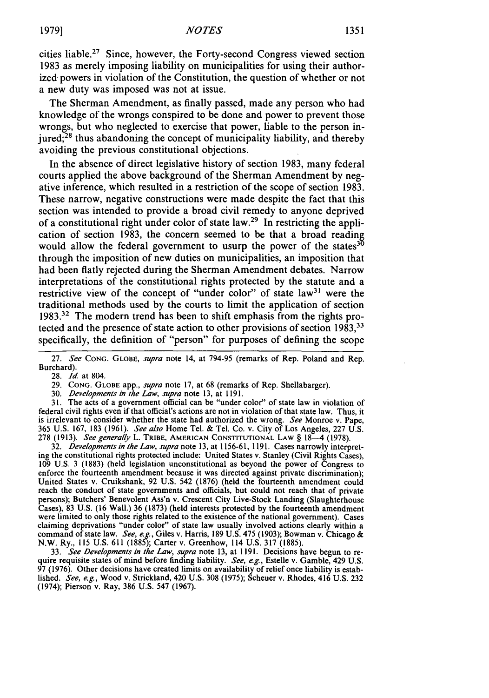cities liable.<sup>27</sup> Since, however, the Forty-second Congress viewed section 1983 as merely imposing liability on municipalities for using their authorized powers in violation of the Constitution, the question of whether or not a new duty was imposed was not at issue.

The Sherman Amendment, as finally passed, made any person who had knowledge of the wrongs conspired to be done and power to prevent those wrongs, but who neglected to exercise that power, liable to the person injured; $^{28}$  thus abandoning the concept of municipality liability, and thereby avoiding the previous constitutional objections.

In the absence of direct legislative history of section 1983, many federal courts applied the above background of the Sherman Amendment by negative inference, which resulted in a restriction of the scope of section 1983. These narrow, negative constructions were made despite the fact that this section was intended to provide a broad civil remedy to anyone deprived of a constitutional right under color of state law.29 In restricting the application of section 1983, the concern seemed to be that a broad reading would allow the federal government to usurp the power of the states  $3<sup>5</sup>$ through the imposition of new duties on municipalities, an imposition that had been flatly rejected during the Sherman Amendment debates. Narrow interpretations of the constitutional rights protected by the statute and a restrictive view of the concept of "under color" of state law<sup>31</sup> were the traditional methods used by the courts to limit the application of section 1983.32 The modern trend has been to shift emphasis from the rights protected and the presence of state action to other provisions of section 1983,<sup>33</sup> specifically, the definition of "person" for purposes of defining the scope

28. *Id.* at 804.

29. **CONG.** GLOBE app., *supra* note 17, at 68 (remarks of Rep. Shellabarger).

30. *Developments in the Law, supra* note 13, at 1191.

31. The acts of a government official can be "under color" of state law in violation of federal civil rights even if that official's actions are not in violation of that state law. Thus, it is irrelevant to consider whether the state had authorized the wrong. *See* Monroe v. Pape, 365 U.S. 167, 183 (1961). *See also* Home Tel. & Tel. Co. v. City of Los Angeles, 227 U.S. 278 **(1913).** *See generally* L. TRIBE, **AMERICAN CONSTITUTIONAL** LAW § 18-4 **(1978).**

32. *Developments in the Law, supra* note 13, at 1156-61, 1191. Cases narrowly interpreting the constitutional rights protected include: United States v. Stanley (Civil Rights Cases), 109 U.S. 3 (1883) (held legislation unconstitutional as beyond the power of Congress to enforce the fourteenth amendment because it was directed against private discrimination); United States v. Cruikshank, 92 U.S. 542 (1876) (held the fourteenth amendment could reach the conduct of state governments and officials, but could not reach that of private persons); Butchers' Benevolent Ass'n v. Crescent City Live-Stock Landing (Slaughterhouse<br>Cases), 83 U.S. (16 Wall.) 36 (1873) (held interests protected by the fourteenth amendment Cases), 83 U.S. (16 Wall.) 36 (1873) (held interests protected by the fourteenth amendment were limited to only those rights related to the existence of the national government). Cases claiming deprivations "under color" of state law usually involved actions clearly within a command of state law. *See, e.g.,* Giles v. Harris, 189 U.S. 475 (1903); Bowman v. Chicago & N.W. Ry., **115** U.S. 611 (1885); Carter v. Greenhow, 114 U.S. 317 (1885).

33. *See Developments in the Law, supra* note 13, at **1191.** Decisions have begun to re- quire requisite states of mind before finding liability. *See, e.g.,* Estelle v. Gamble, 429 U.S. **97** (1976). Other decisions have created limits on availability of relief once liability is established. *See, e.g.,* Wood v. Strickland, 420 U.S. **308** (1975); Scheuer v. Rhodes, 416 U.S. 232 (1974); Pierson v. Ray, 386 U.S. 547 (1967).

<sup>27.</sup> *See* **CONG. GLOBE,** *supra* note 14, at 794-95 (remarks of Rep. Poland and Rep. Burchard).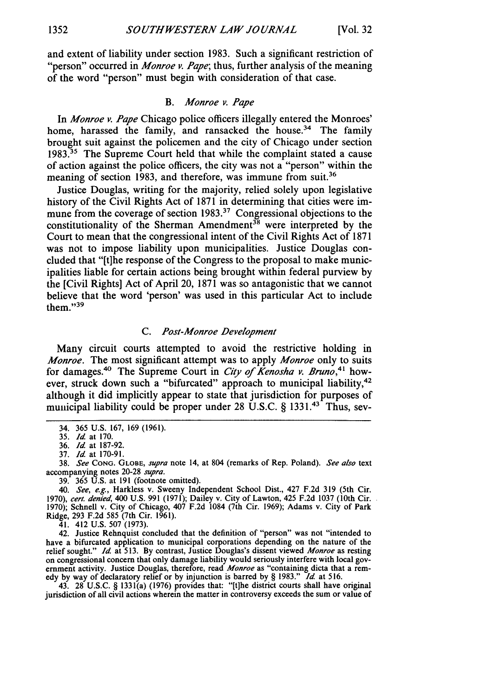and extent of liability under section 1983. Such a significant restriction of "person" occurred in *Monroe v. Pape;* thus, further analysis of the meaning of the word "person" must begin with consideration of that case.

## *B. Monroe v. Pape*

In *Monroe v. Pape* Chicago police officers illegally entered the Monroes' home, harassed the family, and ransacked the house.<sup>34</sup> The family brought suit against the policemen and the city of Chicago under section **1983.31** The Supreme Court held that while the complaint stated a cause of action against the police officers, the city was not a "person" within the meaning of section 1983, and therefore, was immune from suit.<sup>36</sup>

Justice Douglas, writing for the majority, relied solely upon legislative history of the Civil Rights Act of 1871 in determining that cities were immune from the coverage of section  $1983<sup>37</sup>$  Congressional objections to the constitutionality of the Sherman Amendment<sup>38</sup> were interpreted by the Court to mean that the congressional intent of the Civil Rights Act of 1871 was not to impose liability upon municipalities. Justice Douglas concluded that "[t]he response of the Congress to the proposal to make municipalities liable for certain actions being brought within federal purview by the [Civil Rights] Act of April 20, 1871 was so antagonistic that we cannot believe that the word 'person' was used in this particular Act to include them." $39$ 

## *C. Post -Monroe Development*

Many circuit courts attempted to avoid the restrictive holding in *Monroe.* The most significant attempt was to apply *Monroe* only to suits for damages.<sup>40</sup> The Supreme Court in *City of Kenosha v. Bruno*,<sup>41</sup> however, struck down such a "bifurcated" approach to municipal liability,<sup>42</sup> although it did implicitly appear to state that jurisdiction for purposes of municipal liability could be proper under 28 U.S.C. § 1331.<sup>43</sup> Thus, sev-

39. 365 U.S. at 191 (footnote omitted).

*40. See, e.g.,* Harkless v. Sweeny Independent School Dist., 427 F.2d 319 (5th Cir. 1970), *cert. denied,* 400 U.S. 991 (1971); Dailey v. City of Lawton, 425 F.2d 1037 (10th Cir. 1970); Schnell v. City of Chicago, 407 F.2d 1084 (7th Cir. 1969); Adams v. City of Park Ridge, 293 F.2d 585 (7th Cir. 1961).

41. 412 U.S. 507 (1973).

42. Justice Rehnquist concluded that the definition of "person" was not "intended to have a bifurcated application to municipal corporations depending on the nature of the relief sought." **Id.** at 513. By contrast, Justice Douglas's dissent viewed *Monroe* as resting on congressional concern that only damage liability would seriously interfere with local government activity. Justice Douglas, therefore, read *Monroe* as "containing dicta that a remedy by way of declaratory relief or by injunction is barred by § 1983." *Id* at 516.

43. 28 U.S.C. § 1331(a) (1976) provides that: "[t]he district courts shall have original jurisdiction of all civil actions wherein the matter in controversy exceeds the sum or value of

<sup>34. 365</sup> U.S. 167, 169 (1961). 35. *Id* at 170.

<sup>36.</sup> *Id* at 187-92.

<sup>37.</sup> *Id* at 170-91.

<sup>38.</sup> *See* **CONG. GLOBE,** *supra* note 14, at 804 (remarks of Rep. Poland). *See also* text accompanying notes 20-28 *supra.*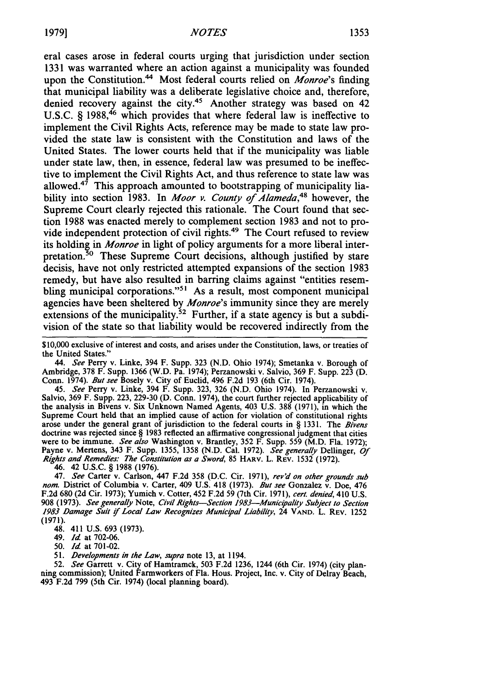eral cases arose in federal courts urging that jurisdiction under section 1331 was warranted where an action against a municipality was founded upon the Constitution.<sup>44</sup> Most federal courts relied on *Monroe's* finding that municipal liability was a deliberate legislative choice and, therefore, denied recovery against the city.<sup>45</sup> Another strategy was based on  $42$ U.S.C.  $\hat{S}$  1988,<sup>46</sup> which provides that where federal law is ineffective to implement the Civil Rights Acts, reference may be made to state law provided the state law is consistent with the Constitution and laws of the United States. The lower courts held that if the municipality was liable under state law, then, in essence, federal law was presumed to be ineffective to implement the Civil Rights Act, and thus reference to state law was allowed.<sup>47</sup> This approach amounted to bootstrapping of municipality liability into section 1983. In *Moor v. County of Alameda,48* however, the Supreme Court clearly rejected this rationale. The Court found that section 1988 was enacted merely to complement section 1983 and not to provide independent protection of civil rights.<sup>49</sup> The Court refused to review its holding in *Monroe* in light of policy arguments for a more liberal interpretation.<sup>30</sup> These Supreme Court decisions, although justified by stare decisis, have not only restricted attempted expansions of the section 1983 remedy, but have also resulted in barring claims against "entities resembling municipal corporations."<sup>51</sup> As a result, most component municipal agencies have been sheltered by *Monroe's* immunity since they are merely extensions of the municipality.<sup>52</sup> Further, if a state agency is but a subdivision of the state so that liability would be recovered indirectly from the

\$10,000 exclusive of interest and costs, and arises under the Constitution, laws, or treaties of the United States."

*44. See* Perry v. Linke, 394 F. Supp. 323 (N.D. Ohio 1974); Smetanka v. Borough of Ambridge, 378 F. Supp. 1366 (W.D. Pa. 1974); Perzanowski v. Salvio, 369 F. Supp. 223 (D. Conn. 1974). *But see* Bosely v. City of Euclid, 496 F.2d 193 (6th Cir. 1974).

45. *See* Perry v. Linke, 394 F. Supp. 323, 326 (N.D. Ohio 1974). In Perzanowski v. Salvio, 369 F. Supp. 223, 229-30 (D. Conn. 1974), the court further rejected applicability of the analysis in Bivens v. Six Unknown Named Agents, 403 U.S. 388 (1971), in which the Supreme Court held that an implied cause of action for violation of constitutional rights arose under the general grant of jurisdiction to the federal courts in § 1331. The *Bivens* doctrine was rejected since § 1983 reflected an affirmative congressional judgment that cities were to be immune. *See also* Washington v. Brantley, 352 F. Supp. 559 (M.D. Fla. 1972); Payne v. Mertens, 343 F. Supp. 1355, 1358 (N.D. Cal. 1972). *See generally* Dellinger, *Of Rights and Remedies." The Constitution as a Sword,* 85 HARV. L. REv. 1532 (1972).

46. 42 U.S.C. § 1988 (1976).

47. *See* Carter v. Carlson, 447 F.2d 358 (D.C. Cir. 1971), *rev'd on other grounds sub nom.* District of Columbia v. Carter, 409 U.S. 418 (1973). *But see* Gonzalez v. Doe, 476 F.2d 680 (2d Cir. 1973); Yumich v. Cotter, 452 F.2d 59 (7th Cir. 1971), *cert. denied,* 410 U.S. 908 (1973). *See* generally Note, *Civil Rights-Section 1983-Municipality Subject to Section* 1983 Damage Suit *if* Local Law Recognizes *Municipal Liability,* 24 **VAND.** L. REV. 1252 (1971).

- 48. 411 U.S. 693 (1973).
- 49. *Id* at 702-06.

50. *Id* at 701-02.

51. *Developments in the Law, supra* note **13,** at 1194.

52. *See* Garrett v. City of Hamtramck, 503 F.2d 1236, 1244 (6th Cir. 1974) (city planning commission); United Farmworkers of Fla. Hous. Project, Inc. v. City of Delray Beach, 493 F.2d 799 (5th Cir. 1974) (local planning board).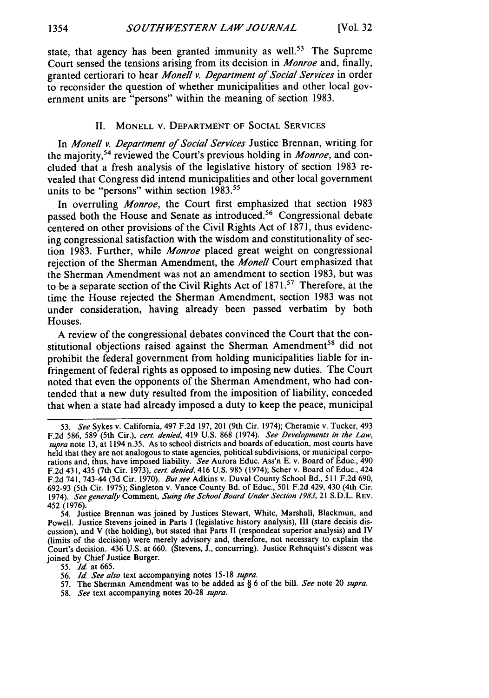state, that agency has been granted immunity as well.<sup>53</sup> The Supreme Court sensed the tensions arising from its decision in *Monroe* and, finally, granted certiorari to hear *Monell v. Department of Social Services* in order to reconsider the question of whether municipalities and other local government units are "persons" within the meaning of section 1983.

#### II. MONELL V. DEPARTMENT OF SOCIAL SERVICES

In *Monell v. Department of Social Services* Justice Brennan, writing for the majority,54 reviewed the Court's previous holding in *Monroe,* and concluded that a fresh analysis of the legislative history of section 1983 revealed that Congress did intend municipalities and other local government units to be "persons" within section 1983.<sup>55</sup>

In overruling *Monroe,* the Court first emphasized that section 1983 passed both the House and Senate as introduced.<sup>56</sup> Congressional debate centered on other provisions of the Civil Rights Act of 1871, thus evidencing congressional satisfaction with the wisdom and constitutionality of section 1983. Further, while *Monroe* placed great weight on congressional rejection of the Sherman Amendment, the *Monell* Court emphasized that the Sherman Amendment was not an amendment to section 1983, but was to be a separate section of the Civil Rights Act of 1871.<sup>57</sup> Therefore, at the time the House rejected the Sherman Amendment, section 1983 was not under consideration, having already been passed verbatim by both Houses.

A review of the congressional debates convinced the Court that the constitutional objections raised against the Sherman Amendment<sup>58</sup> did not prohibit the federal government from holding municipalities liable for infringement of federal rights as opposed to imposing new duties. The Court noted that even the opponents of the Sherman Amendment, who had contended that a new duty resulted from the imposition of liability, conceded that when a state had already imposed a duty to keep the peace, municipal

55. *Id* at 665.

- 57. The Sherman Amendment was to be added as  $\S$  6 of the bill. See note 20 supra.
- 58. See text accompanying notes 20-28 supra.

<sup>53.</sup> See Sykes v. California, 497 F.2d 197, 201 (9th Cir. 1974); Cheramie v. Tucker, 493 F.2d 586, 589 (5th Cir.), cert. denied, 419 U.S. 868 (1974). See Developments in the Law, supra note 13, at 1194  $n.35$ . As to school districts and boards of education, most courts have held that they are not analogous to state agencies, political subdivisions, or municipal corporations and, thus, have imposed liability. See Aurora Educ. Ass'n E. v. Board of Educ., 490 F.2d 431, 435 (7th Cir. 1973), *cert. denied*, 416 U.S. 985 (1974); Scher v. Board of Educ., 424 F.2d 741, 743-44 (3d Cir. 1970). But see Adkins v. Duval County School Bd., 511 F.2d 690, 692-93 (5th Cir. 1975); Singleton v. Vance County Bd. of Educ., 501 F.2d 429, 430 (4th Cir. 1974). See generally Comment, Suing the School Board Under Section 1983, 21 S.D.L. REV. 452 (1976).

<sup>54.</sup> Justice Brennan was joined by Justices Stewart, White, Marshall, Blackmun, and Powell. Justice Stevens joined in Parts I (legislative history analysis), III (stare decisis discussion), and V (the holding), but stated that Parts II (respondeat superior analysis) and IV (limits of the decision) were merely advisory and, therefore, not necessary to explain the Court's decision. 436 U.S. at 660. (Stevens, J., concurring). Justice Rehnquist's dissent was joined by Chief Justice Burger.

<sup>56.</sup> *Id.* See also text accompanying notes 15-18 supra.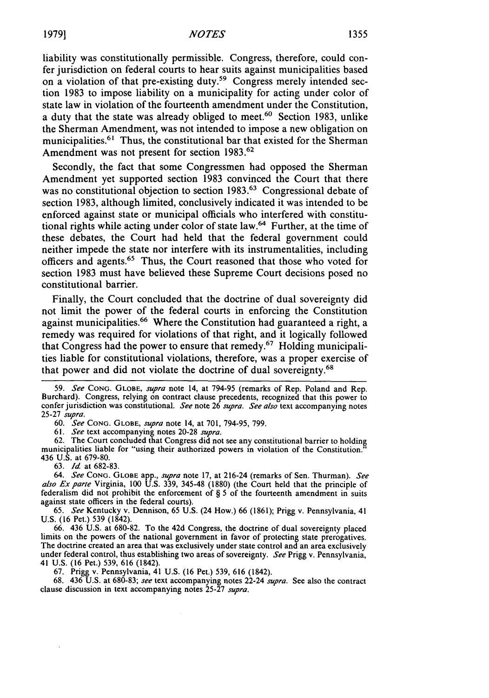liability was constitutionally permissible. Congress, therefore, could confer jurisdiction on federal courts to hear suits against municipalities based on a violation of that pre-existing duty.<sup>59</sup> Congress merely intended section 1983 to impose liability on a municipality for acting under color of state law in violation of the fourteenth amendment under the Constitution, a duty that the state was already obliged to meet.<sup>60</sup> Section 1983, unlike the Sherman Amendment, was not intended to impose a new obligation on municipalities.<sup>61</sup> Thus, the constitutional bar that existed for the Sherman Amendment was not present for section 1983.<sup>62</sup>

Secondly, the fact that some Congressmen had opposed the Sherman Amendment yet supported section 1983 convinced the Court that there was no constitutional objection to section 1983.<sup>63</sup> Congressional debate of section 1983, although limited, conclusively indicated it was intended to be enforced against state or municipal officials who interfered with constitutional rights while acting under color of state law.<sup>64</sup> Further, at the time of these debates, the Court had held that the federal government could neither impede the state nor interfere with its instrumentalities, including officers and agents.65 Thus, the Court reasoned that those who voted for section 1983 must have believed these Supreme Court decisions posed no constitutional barrier.

Finally, the Court concluded that the doctrine of dual sovereignty did not limit the power of the federal courts in enforcing the Constitution against municipalities.<sup>66</sup> Where the Constitution had guaranteed a right, a remedy was required for violations of that right, and it logically followed that Congress had the power to ensure that remedy.67 Holding municipalities liable for constitutional violations, therefore, was a proper exercise of that power and did not violate the doctrine of dual sovereignty.68

59. *See* **CONG. GLOBE,** *supra* note 14, at 794-95 (remarks of Rep. Poland and Rep. Burchard). Congress, relying on contract clause precedents, recognized that this power to confer jurisdiction was constitutional. *See* note 26 *supra. See also* text accompanying notes 25-27 *supra.*

60. *See* **CONG. GLOBE,** *supra* note 14, at 701, 794-95, 799.

61. *See* text accompanying notes 20-28 *supra.*

62. The Court concluded that Congress did not see any constitutional barrier to holding municipalities liable for "using their authorized powers in violation of the Constitution." 436 U.S. at 679-80.

63. *Id.* at 682-83.

*64. See* **CONG. GLOBE** app., *supra* note 17, at 216-24 (remarks of Sen. Thurman). *See also Exparte* Virginia, 100 U.S. 339, 345-48 (1880) (the Court held that the principle of federalism did not prohibit the enforcement of  $\S$  5 of the fourteenth amendment in suits against state officers in the federal courts).

65. *See* Kentucky v. Dennison, 65 U.S. (24 How.) 66 (1861); Prigg v. Pennsylvania, 41 U.S. (16 Pet.) 539 (1842).

66. 436 U.S. at 680-82. To the 42d Congress, the doctrine of dual sovereignty placed limits on the powers of the national government in favor of protecting state prerogatives. The doctrine created an area that was exclusively under state control and an area exclusively under federal control, thus establishing two areas of sovereignty. *See* Prigg v. Pennsylvania, 41 U.S. (16 Pet.) 539, 616 (1842).

67. Prigg v. Pennsylvania, 41 U.S. (16 Pet.) 539, 616 (1842).

68. 436 U.S. at 680-83; *see* text accompanying notes 22-24 *supra.* See also the contract clause discussion in text accompanying notes 25-27 *supra.*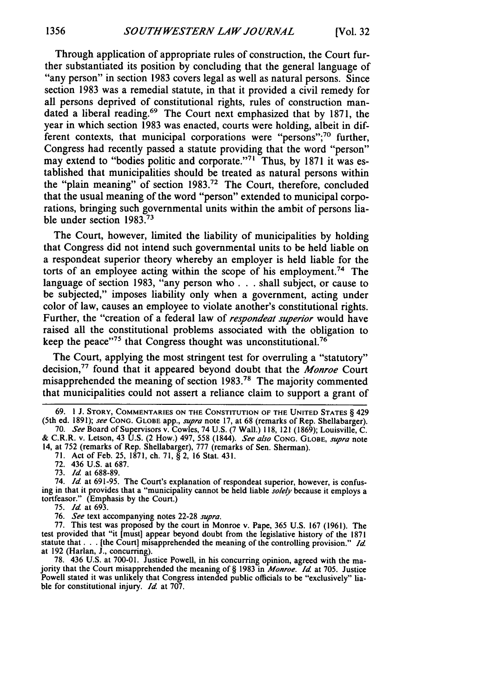Through application of appropriate rules of construction, the Court further substantiated its position by concluding that the general language of "any person" in section 1983 covers legal as well as natural persons. Since section 1983 was a remedial statute, in that it provided a civil remedy for all persons deprived of constitutional rights, rules of construction mandated a liberal reading.<sup>69</sup> The Court next emphasized that by 1871, the year in which section 1983 was enacted, courts were holding, albeit in different contexts, that municipal corporations were "persons"; $70$  further, Congress had recently passed a statute providing that the word "person" may extend to "bodies politic and corporate."<sup>71</sup> Thus, by 1871 it was established that municipalities should be treated as natural persons within the "plain meaning" of section 1983.72 The Court, therefore, concluded that the usual meaning of the word "person" extended to municipal corporations, bringing such governmental units within the ambit of persons liable under section 1983.<sup>71</sup>

The Court, however, limited the liability of municipalities by holding that Congress did not intend such governmental units to be held liable on a respondeat superior theory whereby an employer is held liable for the torts of an employee acting within the scope of his employment.<sup>74</sup> The language of section 1983, "any person who **. . .** shall subject, or cause to be subjected," imposes liability only when a government, acting under color of law, causes an employee to violate another's constitutional rights. Further, the "creation of a federal law of *respondeal superior* would have raised all the constitutional problems associated with the obligation to keep the peace"<sup>75</sup> that Congress thought was unconstitutional.<sup>76</sup>

The Court, applying the most stringent test for overruling a "statutory" decision,77 found that it appeared beyond doubt that the *Monroe* Court misapprehended the meaning of section 1983.78 The majority commented that municipalities could not assert a reliance claim to support a grant of

74. *Id.* at 691-95. The Court's explanation of respondeat superior, however, is confusing in that it provides that a "municipality cannot be held liable *solely* because it employs a tortfeasor." (Emphasis by the Court.)

75. *Id* at 693.

76. *See* text accompanying notes 22-28 *supra.*

77. This test was proposed by the court in Monroe v. Pape, 365 U.S. 167 (1961). The test provided that "it [must] appear beyond doubt from the legislative history of the 1871 statute that. **.** . [the Court] misapprehended the meaning of the controlling provision." *Id* at 192 (Harlan, **J.,** concurring).

78. 436 U.S. at 700-01. Justice Powell, in his concurring opinion, agreed with the ma- jority that the Court misapprehended the meaning of § 1983 in *Monroe. Id* at 705. Justice Powell stated it was unlikely that Congress intended public officials to be "exclusively" liable for constitutional injury. *Id.* at 707.

<sup>69.</sup> **1 J.** STORY, **COMMENTARIES ON** THE **CONSTITUTION** OF THE **UNITED STATES** § 429 (5th ed. 1891); see **CONG. GLOBE** app., supra note 17, at 68 (remarks of Rep. Shellabarger).

<sup>70.</sup> *See* Board of Supervisors v. Cowles, 74 U.S. (7 Wall.) 118, 121 (1869); Louisville, C. & C.R.R. v. Letson, 43 U.S. (2 How.) 497, 558 (1844). See also **CONG. GLOBE,** *supra* note

<sup>14,</sup> at 752 (remarks of Rep. Shellabarger), 777 (remarks of Sen. Sherman).

<sup>71.</sup> Act of Feb. 25, 1871, ch. 71, § 2, 16 Stat. 431. 72. 436 U.S. at 687.

<sup>73.</sup> *Id* at 688-89.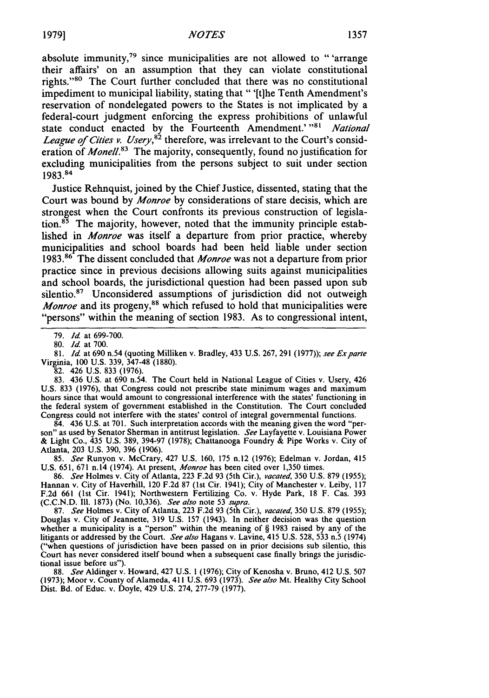absolute immunity, $79$  since municipalities are not allowed to "'arrange their affairs' on an assumption that they can violate constitutional rights."<sup>80</sup> The Court further concluded that there was no constitutional impediment to municipal liability, stating that " '[t]he Tenth Amendment's reservation of nondelegated powers to the States is not implicated by a federal-court judgment enforcing the express prohibitions of unlawful state conduct enacted by the Fourteenth Amendment.' **"81** *National League of Cities v. Usery*,<sup>82</sup> therefore, was irrelevant to the Court's consideration of *Monell.83* The majority, consequently, found no justification for excluding municipalities from the persons subject to suit under section 1983.84

Justice Rehnquist, joined by the Chief Justice, dissented, stating that the Court was bound by *Monroe* by considerations of stare decisis, which are strongest when the Court confronts its previous construction of legislation. $85$  The majority, however, noted that the immunity principle established in *Monroe* was itself a departure from prior practice, whereby municipalities and school boards had been held liable under section 1983.86 The dissent concluded that *Monroe* was not a departure from prior practice since in previous decisions allowing suits against municipalities and school boards, the jurisdictional question had been passed upon sub silentio.<sup>87</sup> Unconsidered assumptions of jurisdiction did not outweigh *Monroe* and its progeny,<sup>88</sup> which refused to hold that municipalities were "persons" within the meaning of section 1983. As to congressional intent,

79. *Id.* at 699-700.

80. *Id.* at 700.

81. *Id.* at 690 n.54 (quoting Milliken v. Bradley, 433 U.S. 267, 291 (1977)); *see Exparte* Virginia, 100 U.S. 339, 347-48 (1880).

82. 426 U.S. 833 (1976).

83. 436 U.S. at 690 n.54. The Court held in National League of Cities v. Usery, 426 U.S. 833 (1976), that Congress could not prescribe state minimum wages and maximum hours since that would amount to congressional interference with the states' functioning in the federal system of government established in the Constitution. The Court concluded Congress could not interfere with the states' control of integral governmental functions.

84. 436 U.S. at 701. Such interpretation accords with the meaning given the word "person" as used by Senator Sherman in antitrust legislation. *See* Layfayette v. Louisiana Power & Light Co., 435 U.S. 389, 394-97 (1978); Chattanooga Foundry & Pipe Works v. City of Atlanta, 203 U.S. 390, 396 (1906).

85. *See* Runyon v. McCrary, 427 U.S. 160, 175 n.12 (1976); Edelman v. Jordan, 415 U.S. 651, 671 n.14 (1974). At present, *Monroe* has been cited over 1,350 times,

86. *See* Holmes v. City of Atlanta, 223 F.2d 93 (5th Cir.), *vacated,* 350 U.S. 879 (1955); Hannan v. City of Haverhill, 120 F.2d 87 (1st Cir. 1941); City of Manchester v. Leiby, 117 F.2d 661 (1st Cir. 1941); Northwestern Fertilizing Co. v. Hyde Park, 18 F. Cas. 393 (C.C.N.D. **11.** 1873) (No. 10,336). *See also* note 53 *supra.*

87. *See* Holmes v. City of Atlanta, 223 F.2d 93 (5th Cir.), *vacated,* 350 U.S. 879 (1955); Douglas v. City of Jeannette, 319 U.S. 157 (1943). In neither decision was the question whether a municipality is a "person" within the meaning of § 1983 raised by any of the litigants or addressed by the Court. *See also* Hagans v. Lavine, 415 U.S. 528, 533 n.5 (1974) ("when questions of jurisdiction have been passed on in prior decisions sub silentio, this Court has never considered itself bound when a subsequent case finally brings the jurisdictional issue before us").

88. *See* Aldinger v. Howard, 427 U.S. 1 (1976); City of Kenosha v. Bruno, 412 U.S. 507 (1973); Moor v. County of Alameda, 411 U.S. 693 (1973). *See also* Mt. Healthy City School Dist. Bd. of Educ. v. Doyle, 429 U.S. 274, 277-79 (1977).